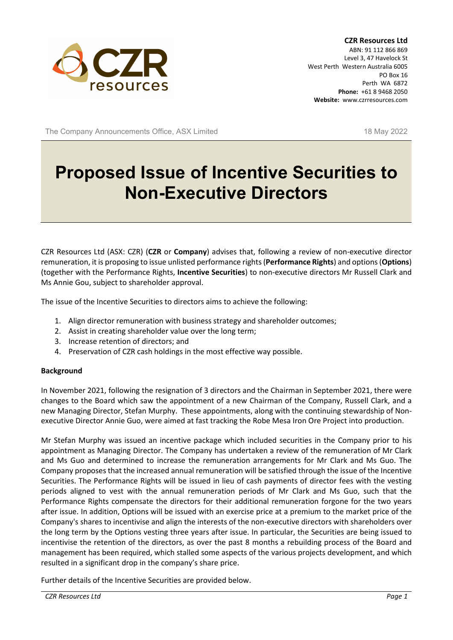

**CZR Resources Ltd** ABN: 91 112 866 869 Level 3, 47 Havelock St West Perth Western Australia 6005 PO Box 16 Perth WA 6872 **Phone:** +61 8 9468 2050 **Website:** www.czrresources.com

The Company Announcements Office, ASX Limited 18 May 2022

# **Proposed Issue of Incentive Securities to Non-Executive Directors**

CZR Resources Ltd (ASX: CZR) (**CZR** or **Company**) advises that, following a review of non-executive director remuneration, it is proposing to issue unlisted performance rights (**Performance Rights**) and options (**Options**) (together with the Performance Rights, **Incentive Securities**) to non-executive directors Mr Russell Clark and Ms Annie Gou, subject to shareholder approval.

The issue of the Incentive Securities to directors aims to achieve the following:

- 1. Align director remuneration with business strategy and shareholder outcomes;
- 2. Assist in creating shareholder value over the long term;
- 3. Increase retention of directors; and
- 4. Preservation of CZR cash holdings in the most effective way possible.

#### **Background**

In November 2021, following the resignation of 3 directors and the Chairman in September 2021, there were changes to the Board which saw the appointment of a new Chairman of the Company, Russell Clark, and a new Managing Director, Stefan Murphy. These appointments, along with the continuing stewardship of Nonexecutive Director Annie Guo, were aimed at fast tracking the Robe Mesa Iron Ore Project into production.

Mr Stefan Murphy was issued an incentive package which included securities in the Company prior to his appointment as Managing Director. The Company has undertaken a review of the remuneration of Mr Clark and Ms Guo and determined to increase the remuneration arrangements for Mr Clark and Ms Guo. The Company proposes that the increased annual remuneration will be satisfied through the issue of the Incentive Securities. The Performance Rights will be issued in lieu of cash payments of director fees with the vesting periods aligned to vest with the annual remuneration periods of Mr Clark and Ms Guo, such that the Performance Rights compensate the directors for their additional remuneration forgone for the two years after issue. In addition, Options will be issued with an exercise price at a premium to the market price of the Company's shares to incentivise and align the interests of the non-executive directors with shareholders over the long term by the Options vesting three years after issue. In particular, the Securities are being issued to incentivise the retention of the directors, as over the past 8 months a rebuilding process of the Board and management has been required, which stalled some aspects of the various projects development, and which resulted in a significant drop in the company's share price.

Further details of the Incentive Securities are provided below.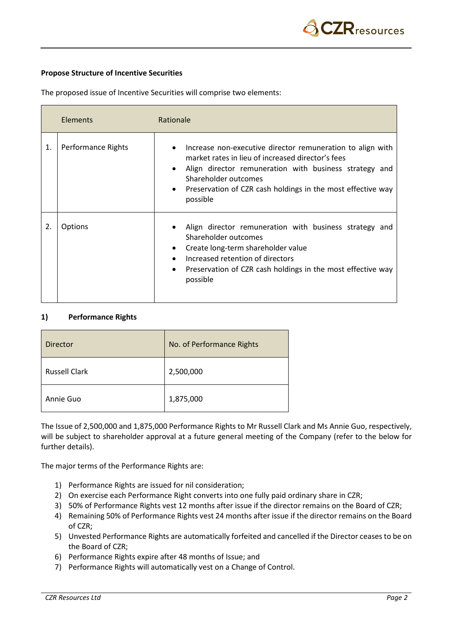# **Propose Structure of Incentive Securities**

The proposed issue of Incentive Securities will comprise two elements:

|    | Elements           | Rationale                                                                                                                                                                                                                                                                                 |
|----|--------------------|-------------------------------------------------------------------------------------------------------------------------------------------------------------------------------------------------------------------------------------------------------------------------------------------|
| 1. | Performance Rights | Increase non-executive director remuneration to align with<br>market rates in lieu of increased director's fees<br>Align director remuneration with business strategy and<br>Shareholder outcomes<br>Preservation of CZR cash holdings in the most effective way<br>$\bullet$<br>possible |
| 2. | Options            | Align director remuneration with business strategy and<br>Shareholder outcomes<br>Create long-term shareholder value<br>$\bullet$<br>Increased retention of directors<br>Preservation of CZR cash holdings in the most effective way<br>$\bullet$<br>possible                             |

### **1) Performance Rights**

| <b>Director</b>      | No. of Performance Rights |
|----------------------|---------------------------|
| <b>Russell Clark</b> | 2,500,000                 |
| Annie Guo            | 1,875,000                 |

The Issue of 2,500,000 and 1,875,000 Performance Rights to Mr Russell Clark and Ms Annie Guo, respectively, will be subject to shareholder approval at a future general meeting of the Company (refer to the below for further details).

The major terms of the Performance Rights are:

- 1) Performance Rights are issued for nil consideration;
- 2) On exercise each Performance Right converts into one fully paid ordinary share in CZR;
- 3) 50% of Performance Rights vest 12 months after issue if the director remains on the Board of CZR;
- 4) Remaining 50% of Performance Rights vest 24 months after issue if the director remains on the Board of CZR;
- 5) Unvested Performance Rights are automatically forfeited and cancelled if the Director ceases to be on the Board of CZR;
- 6) Performance Rights expire after 48 months of Issue; and
- 7) Performance Rights will automatically vest on a Change of Control.